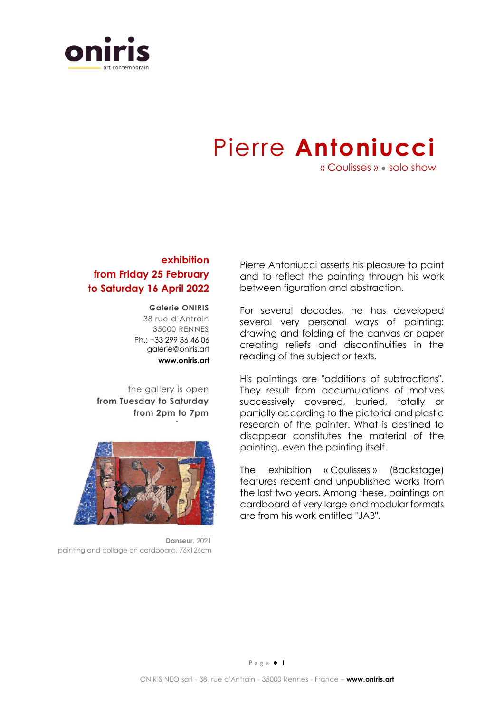

## Pierre **Antoniucci**

« Coulisses » ● solo show

## **exhibition from Friday 25 February to Saturday 16 April 2022**

## **Galerie ONIRIS**

38 rue d'Antrain 35000 RENNES Ph.: +33 299 36 46 06 galerie@oniris.art **www.oniris.art**

**de 14h00 à 19h00**

the gallery is open **from Tuesday to Saturday from 2pm to 7pm**



**Danseur**, 2021 painting and collage on cardboard, 76x126cm

Pierre Antoniucci asserts his pleasure to paint and to reflect the painting through his work between figuration and abstraction.

For several decades, he has developed several very personal ways of painting: drawing and folding of the canvas or paper creating reliefs and discontinuities in the reading of the subject or texts.

His paintings are "additions of subtractions". They result from accumulations of motives successively covered, buried, totally or partially according to the pictorial and plastic research of the painter. What is destined to disappear constitutes the material of the painting, even the painting itself.

The exhibition « Coulisses » (Backstage) features recent and unpublished works from the last two years. Among these, paintings on cardboard of very large and modular formats are from his work entitled "JAB".